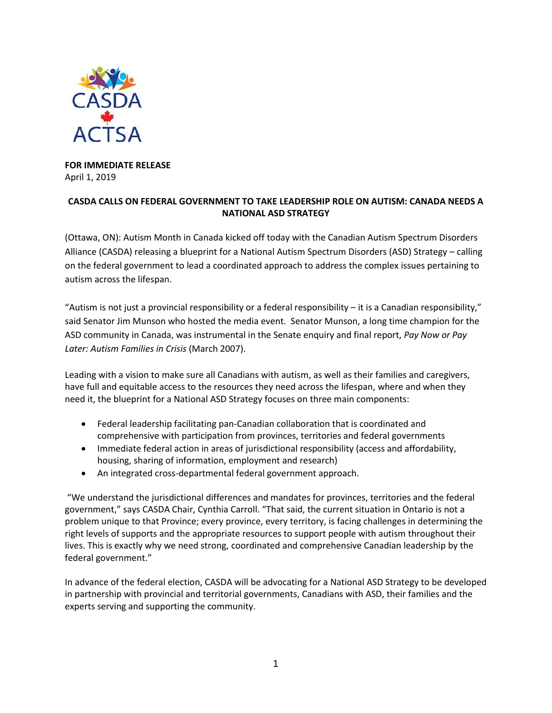

**FOR IMMEDIATE RELEASE** April 1, 2019

## **CASDA CALLS ON FEDERAL GOVERNMENT TO TAKE LEADERSHIP ROLE ON AUTISM: CANADA NEEDS A NATIONAL ASD STRATEGY**

(Ottawa, ON): Autism Month in Canada kicked off today with the Canadian Autism Spectrum Disorders Alliance (CASDA) releasing a blueprint for a National Autism Spectrum Disorders (ASD) Strategy – calling on the federal government to lead a coordinated approach to address the complex issues pertaining to autism across the lifespan.

"Autism is not just a provincial responsibility or a federal responsibility – it is a Canadian responsibility," said Senator Jim Munson who hosted the media event. Senator Munson, a long time champion for the ASD community in Canada, was instrumental in the Senate enquiry and final report, *Pay Now or Pay Later: Autism Families in Crisis* (March 2007).

Leading with a vision to make sure all Canadians with autism, as well as their families and caregivers, have full and equitable access to the resources they need across the lifespan, where and when they need it, the blueprint for a National ASD Strategy focuses on three main components:

- Federal leadership facilitating pan-Canadian collaboration that is coordinated and comprehensive with participation from provinces, territories and federal governments
- Immediate federal action in areas of jurisdictional responsibility (access and affordability, housing, sharing of information, employment and research)
- An integrated cross-departmental federal government approach.

"We understand the jurisdictional differences and mandates for provinces, territories and the federal government," says CASDA Chair, Cynthia Carroll. "That said, the current situation in Ontario is not a problem unique to that Province; every province, every territory, is facing challenges in determining the right levels of supports and the appropriate resources to support people with autism throughout their lives. This is exactly why we need strong, coordinated and comprehensive Canadian leadership by the federal government."

In advance of the federal election, CASDA will be advocating for a National ASD Strategy to be developed in partnership with provincial and territorial governments, Canadians with ASD, their families and the experts serving and supporting the community.